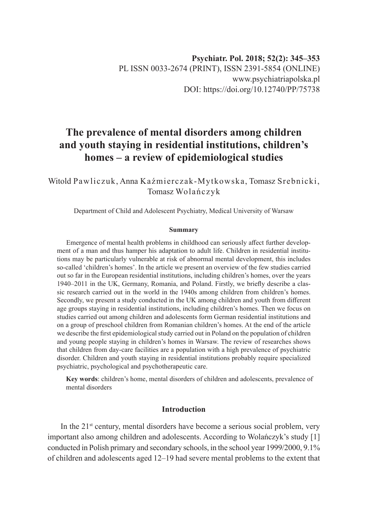# **The prevalence of mental disorders among children and youth staying in residential institutions, children's homes – a review of epidemiological studies**

Witold Pawliczuk, Anna Kaźmierczak-Mytkowska, Tomasz Srebnicki, Tomasz Wolańczyk

Department of Child and Adolescent Psychiatry, Medical University of Warsaw

#### **Summary**

Emergence of mental health problems in childhood can seriously affect further development of a man and thus hamper his adaptation to adult life. Children in residential institutions may be particularly vulnerable at risk of abnormal mental development, this includes so-called 'children's homes'. In the article we present an overview of the few studies carried out so far in the European residential institutions, including children's homes, over the years 1940–2011 in the UK, Germany, Romania, and Poland. Firstly, we briefly describe a classic research carried out in the world in the 1940s among children from children's homes. Secondly, we present a study conducted in the UK among children and youth from different age groups staying in residential institutions, including children's homes. Then we focus on studies carried out among children and adolescents form German residential institutions and on a group of preschool children from Romanian children's homes. At the end of the article we describe the first epidemiological study carried out in Poland on the population of children and young people staying in children's homes in Warsaw. The review of researches shows that children from day-care facilities are a population with a high prevalence of psychiatric disorder. Children and youth staying in residential institutions probably require specialized psychiatric, psychological and psychotherapeutic care.

**Key words**: children's home, mental disorders of children and adolescents, prevalence of mental disorders

# **Introduction**

In the  $21<sup>st</sup>$  century, mental disorders have become a serious social problem, very important also among children and adolescents. According to Wolańczyk's study [1] conducted in Polish primary and secondary schools, in the school year 1999/2000, 9.1% of children and adolescents aged 12–19 had severe mental problems to the extent that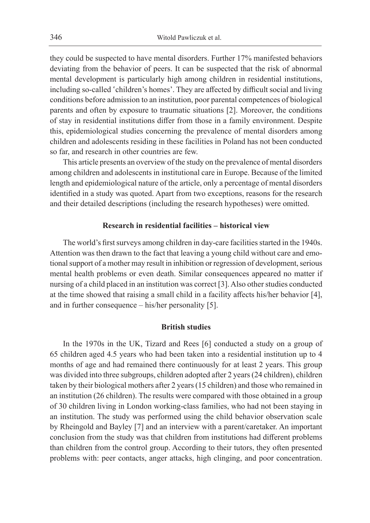they could be suspected to have mental disorders. Further 17% manifested behaviors deviating from the behavior of peers. It can be suspected that the risk of abnormal mental development is particularly high among children in residential institutions, including so-called 'children's homes'. They are affected by difficult social and living conditions before admission to an institution, poor parental competences of biological parents and often by exposure to traumatic situations [2]. Moreover, the conditions of stay in residential institutions differ from those in a family environment. Despite this, epidemiological studies concerning the prevalence of mental disorders among children and adolescents residing in these facilities in Poland has not been conducted so far, and research in other countries are few.

This article presents an overview of the study on the prevalence of mental disorders among children and adolescents in institutional care in Europe. Because of the limited length and epidemiological nature of the article, only a percentage of mental disorders identified in a study was quoted. Apart from two exceptions, reasons for the research and their detailed descriptions (including the research hypotheses) were omitted.

# **Research in residential facilities – historical view**

The world's first surveys among children in day-care facilities started in the 1940s. Attention was then drawn to the fact that leaving a young child without care and emotional support of a mother may result in inhibition or regression of development, serious mental health problems or even death. Similar consequences appeared no matter if nursing of a child placed in an institution was correct [3]. Also other studies conducted at the time showed that raising a small child in a facility affects his/her behavior [4], and in further consequence – his/her personality [5].

## **British studies**

In the 1970s in the UK, Tizard and Rees [6] conducted a study on a group of 65 children aged 4.5 years who had been taken into a residential institution up to 4 months of age and had remained there continuously for at least 2 years. This group was divided into three subgroups, children adopted after 2 years (24 children), children taken by their biological mothers after 2 years (15 children) and those who remained in an institution (26 children). The results were compared with those obtained in a group of 30 children living in London working-class families, who had not been staying in an institution. The study was performed using the child behavior observation scale by Rheingold and Bayley [7] and an interview with a parent/caretaker. An important conclusion from the study was that children from institutions had different problems than children from the control group. According to their tutors, they often presented problems with: peer contacts, anger attacks, high clinging, and poor concentration.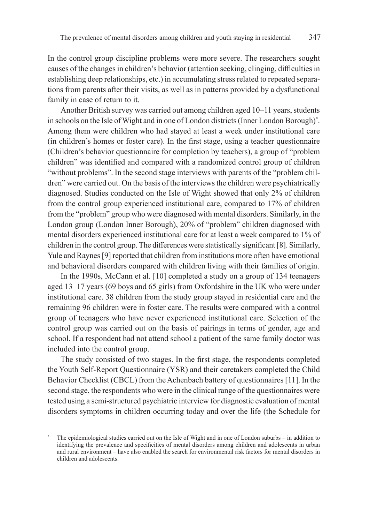In the control group discipline problems were more severe. The researchers sought causes of the changes in children's behavior (attention seeking, clinging, difficulties in establishing deep relationships, etc.) in accumulating stress related to repeated separations from parents after their visits, as well as in patterns provided by a dysfunctional family in case of return to it.

Another British survey was carried out among children aged 10–11 years, students in schools on the Isle of Wight and in one of London districts (Inner London Borough)\* . Among them were children who had stayed at least a week under institutional care (in children's homes or foster care). In the first stage, using a teacher questionnaire (Children's behavior questionnaire for completion by teachers), a group of "problem children" was identified and compared with a randomized control group of children "without problems". In the second stage interviews with parents of the "problem children" were carried out. On the basis of the interviews the children were psychiatrically diagnosed. Studies conducted on the Isle of Wight showed that only 2% of children from the control group experienced institutional care, compared to 17% of children from the "problem" group who were diagnosed with mental disorders. Similarly, in the London group (London Inner Borough), 20% of "problem" children diagnosed with mental disorders experienced institutional care for at least a week compared to 1% of children in the control group. The differences were statistically significant [8]. Similarly, Yule and Raynes [9] reported that children from institutions more often have emotional and behavioral disorders compared with children living with their families of origin.

In the 1990s, McCann et al. [10] completed a study on a group of 134 teenagers aged 13–17 years (69 boys and 65 girls) from Oxfordshire in the UK who were under institutional care. 38 children from the study group stayed in residential care and the remaining 96 children were in foster care. The results were compared with a control group of teenagers who have never experienced institutional care. Selection of the control group was carried out on the basis of pairings in terms of gender, age and school. If a respondent had not attend school a patient of the same family doctor was included into the control group.

The study consisted of two stages. In the first stage, the respondents completed the Youth Self-Report Questionnaire (YSR) and their caretakers completed the Child Behavior Checklist (CBCL) from the Achenbach battery of questionnaires [11]. In the second stage, the respondents who were in the clinical range of the questionnaires were tested using a semi-structured psychiatric interview for diagnostic evaluation of mental disorders symptoms in children occurring today and over the life (the Schedule for

The epidemiological studies carried out on the Isle of Wight and in one of London suburbs – in addition to identifying the prevalence and specificities of mental disorders among children and adolescents in urban and rural environment – have also enabled the search for environmental risk factors for mental disorders in children and adolescents.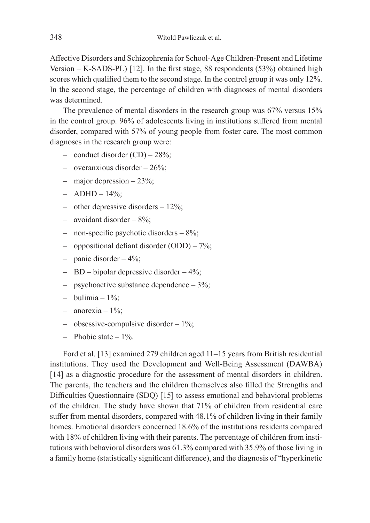Affective Disorders and Schizophrenia for School-Age Children-Present and Lifetime Version – K-SADS-PL) [12]. In the first stage, 88 respondents (53%) obtained high scores which qualified them to the second stage. In the control group it was only 12%. In the second stage, the percentage of children with diagnoses of mental disorders was determined.

The prevalence of mental disorders in the research group was 67% versus 15% in the control group. 96% of adolescents living in institutions suffered from mental disorder, compared with 57% of young people from foster care. The most common diagnoses in the research group were:

- $\alpha$  conduct disorder (CD)  $-28\%$ ;
- overanxious disorder 26%;
- major depression 23%;
- $-$  ADHD  $-$  14%;
- other depressive disorders 12%;
- avoidant disorder 8%;
- non-specific psychotic disorders  $-8\%$ ;
- oppositional defiant disorder (ODD) 7%;
- $-$  panic disorder  $-4\%$ ;
- BD bipolar depressive disorder  $4\%$ ;
- psychoactive substance dependence  $-3\%$ ;
- bulimia  $-1\%$ :
- anorexia  $1\%$ :
- obsessive-compulsive disorder 1%;
- Phobic state  $-1\%$

Ford et al. [13] examined 279 children aged 11–15 years from British residential institutions. They used the Development and Well-Being Assessment (DAWBA) [14] as a diagnostic procedure for the assessment of mental disorders in children. The parents, the teachers and the children themselves also filled the Strengths and Difficulties Questionnaire (SDQ) [15] to assess emotional and behavioral problems of the children. The study have shown that 71% of children from residential care suffer from mental disorders, compared with 48.1% of children living in their family homes. Emotional disorders concerned 18.6% of the institutions residents compared with 18% of children living with their parents. The percentage of children from institutions with behavioral disorders was 61.3% compared with 35.9% of those living in a family home (statistically significant difference), and the diagnosis of "hyperkinetic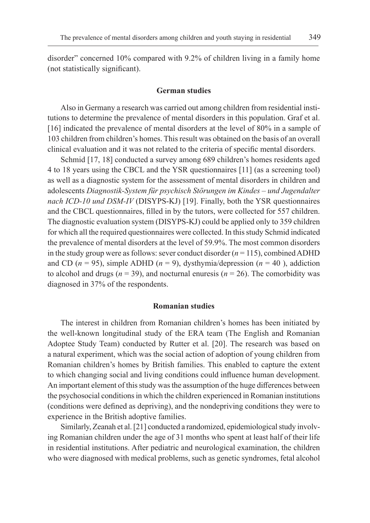disorder" concerned 10% compared with 9.2% of children living in a family home (not statistically significant).

#### **German studies**

Also in Germany a research was carried out among children from residential institutions to determine the prevalence of mental disorders in this population. Graf et al. [16] indicated the prevalence of mental disorders at the level of 80% in a sample of 103 children from children's homes. This result was obtained on the basis of an overall clinical evaluation and it was not related to the criteria of specific mental disorders.

Schmid [17, 18] conducted a survey among 689 children's homes residents aged 4 to 18 years using the CBCL and the YSR questionnaires [11] (as a screening tool) as well as a diagnostic system for the assessment of mental disorders in children and adolescents *Diagnostik-System für psychisch Störungen im Kindes – und Jugendalter nach ICD-10 und DSM-IV* (DISYPS-KJ) [19]. Finally, both the YSR questionnaires and the CBCL questionnaires, filled in by the tutors, were collected for 557 children. The diagnostic evaluation system (DISYPS-KJ) could be applied only to 359 children for which all the required questionnaires were collected. In this study Schmid indicated the prevalence of mental disorders at the level of 59.9%. The most common disorders in the study group were as follows: sever conduct disorder (*n* = 115), combined ADHD and CD ( $n = 95$ ), simple ADHD ( $n = 9$ ), dysthymia/depression ( $n = 40$ ), addiction to alcohol and drugs ( $n = 39$ ), and nocturnal enuresis ( $n = 26$ ). The comorbidity was diagnosed in 37% of the respondents.

## **Romanian studies**

The interest in children from Romanian children's homes has been initiated by the well-known longitudinal study of the ERA team (The English and Romanian Adoptee Study Team) conducted by Rutter et al. [20]. The research was based on a natural experiment, which was the social action of adoption of young children from Romanian children's homes by British families. This enabled to capture the extent to which changing social and living conditions could influence human development. An important element of this study was the assumption of the huge differences between the psychosocial conditions in which the children experienced in Romanian institutions (conditions were defined as depriving), and the nondepriving conditions they were to experience in the British adoptive families.

Similarly, Zeanah et al. [21] conducted a randomized, epidemiological study involving Romanian children under the age of 31 months who spent at least half of their life in residential institutions. After pediatric and neurological examination, the children who were diagnosed with medical problems, such as genetic syndromes, fetal alcohol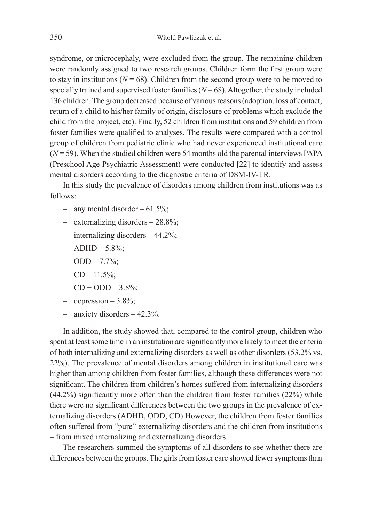syndrome, or microcephaly, were excluded from the group. The remaining children were randomly assigned to two research groups. Children form the first group were to stay in institutions ( $N = 68$ ). Children from the second group were to be moved to specially trained and supervised foster families  $(N = 68)$ . Altogether, the study included 136 children. The group decreased because of various reasons (adoption, loss of contact, return of a child to his/her family of origin, disclosure of problems which exclude the child from the project, etc). Finally, 52 children from institutions and 59 children from foster families were qualified to analyses. The results were compared with a control group of children from pediatric clinic who had never experienced institutional care  $(N = 59)$ . When the studied children were 54 months old the parental interviews PAPA (Preschool Age Psychiatric Assessment) were conducted [22] to identify and assess mental disorders according to the diagnostic criteria of DSM-IV-TR.

In this study the prevalence of disorders among children from institutions was as follows:

- any mental disorder  $61.5\%$ ;
- externalizing disorders 28.8%;
- internalizing disorders 44.2%;
- $-$  ADHD  $-$  5.8%;
- $-$  ODD  $-$  7.7%;
- $-$  CD  $-$  11.5%;
- $-$  CD + ODD  $-3.8\%$ ;
- depression  $3.8\%$ ;
- anxiety disorders  $-42.3\%$ .

In addition, the study showed that, compared to the control group, children who spent at least some time in an institution are significantly more likely to meet the criteria of both internalizing and externalizing disorders as well as other disorders (53.2% vs. 22%). The prevalence of mental disorders among children in institutional care was higher than among children from foster families, although these differences were not significant. The children from children's homes suffered from internalizing disorders (44.2%) significantly more often than the children from foster families (22%) while there were no significant differences between the two groups in the prevalence of externalizing disorders (ADHD, ODD, CD).However, the children from foster families often suffered from "pure" externalizing disorders and the children from institutions – from mixed internalizing and externalizing disorders.

The researchers summed the symptoms of all disorders to see whether there are differences between the groups. The girls from foster care showed fewer symptoms than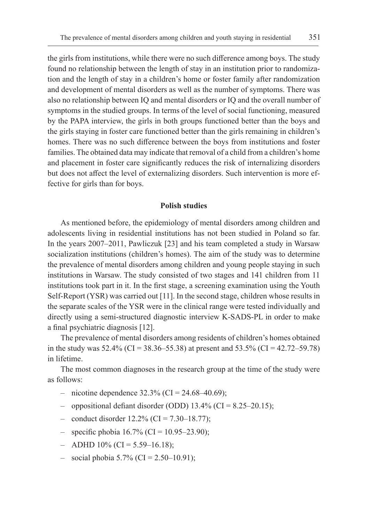the girls from institutions, while there were no such difference among boys. The study found no relationship between the length of stay in an institution prior to randomization and the length of stay in a children's home or foster family after randomization and development of mental disorders as well as the number of symptoms. There was also no relationship between IQ and mental disorders or IQ and the overall number of symptoms in the studied groups. In terms of the level of social functioning, measured by the PAPA interview, the girls in both groups functioned better than the boys and the girls staying in foster care functioned better than the girls remaining in children's homes. There was no such difference between the boys from institutions and foster families. The obtained data may indicate that removal of a child from a children's home and placement in foster care significantly reduces the risk of internalizing disorders but does not affect the level of externalizing disorders. Such intervention is more effective for girls than for boys.

## **Polish studies**

As mentioned before, the epidemiology of mental disorders among children and adolescents living in residential institutions has not been studied in Poland so far. In the years 2007–2011, Pawliczuk [23] and his team completed a study in Warsaw socialization institutions (children's homes). The aim of the study was to determine the prevalence of mental disorders among children and young people staying in such institutions in Warsaw. The study consisted of two stages and 141 children from 11 institutions took part in it. In the first stage, a screening examination using the Youth Self-Report (YSR) was carried out [11]. In the second stage, children whose results in the separate scales of the YSR were in the clinical range were tested individually and directly using a semi-structured diagnostic interview K-SADS-PL in order to make a final psychiatric diagnosis [12].

The prevalence of mental disorders among residents of children's homes obtained in the study was  $52.4\%$  (CI = 38.36–55.38) at present and  $53.5\%$  (CI = 42.72–59.78) in lifetime.

The most common diagnoses in the research group at the time of the study were as follows:

- nicotine dependence  $32.3\%$  (CI =  $24.68-40.69$ );
- oppositional defiant disorder (ODD)  $13.4\%$  (CI = 8.25–20.15);
- $\alpha$  conduct disorder 12.2% (CI = 7.30–18.77);
- $-$  specific phobia 16.7% (CI = 10.95–23.90);
- $-$  ADHD 10% (CI = 5.59–16.18);
- $-$  social phobia 5.7% (CI = 2.50–10.91);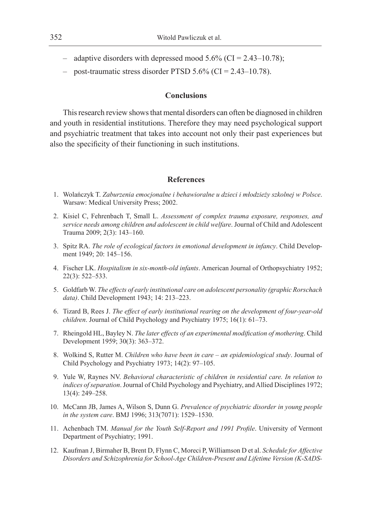- adaptive disorders with depressed mood  $5.6\%$  (CI = 2.43–10.78);
- post-traumatic stress disorder PTSD  $5.6\%$  (CI =  $2.43-10.78$ ).

# **Conclusions**

This research review shows that mental disorders can often be diagnosed in children and youth in residential institutions. Therefore they may need psychological support and psychiatric treatment that takes into account not only their past experiences but also the specificity of their functioning in such institutions.

## **References**

- 1. Wolańczyk T. *Zaburzenia emocjonalne i behawioralne u dzieci i młodzieży szkolnej w Polsce*. Warsaw: Medical University Press; 2002.
- 2. Kisiel C, Fehrenbach T, Small L. *Assessment of complex trauma exposure, responses, and service needs among children and adolescent in child welfare*. Journal of Child and Adolescent Trauma 2009; 2(3): 143–160.
- 3. Spitz RA. *The role of ecological factors in emotional development in infancy*. Child Development 1949; 20: 145–156.
- 4. Fischer LK. *Hospitalism in six-month-old infants*. American Journal of Orthopsychiatry 1952; 22(3): 522–533.
- 5. Goldfarb W. *The effects of early institutional care on adolescent personality (graphic Rorschach data)*. Child Development 1943; 14: 213–223.
- 6. Tizard B, Rees J. *The effect of early institutional rearing on the development of four-year-old children*. Journal of Child Psychology and Psychiatry 1975; 16(1): 61–73.
- 7. Rheingold HL, Bayley N. *The later effects of an experimental modification of mothering*. Child Development 1959; 30(3): 363–372.
- 8. Wolkind S, Rutter M. *Children who have been in care an epidemiological study*. Journal of Child Psychology and Psychiatry 1973; 14(2): 97–105.
- 9. Yule W, Raynes NV. *Behavioral characteristic of children in residential care. In relation to indices of separation*. Journal of Child Psychology and Psychiatry, and Allied Disciplines 1972; 13(4): 249–258.
- 10. McCann JB, James A, Wilson S, Dunn G. *Prevalence of psychiatric disorder in young people in the system care*. BMJ 1996; 313(7071): 1529–1530.
- 11. Achenbach TM. *Manual for the Youth Self-Report and 1991 Profile*. University of Vermont Department of Psychiatry; 1991.
- 12. Kaufman J, Birmaher B, Brent D, Flynn C, Moreci P, Williamson D et al. *Schedule for Affective Disorders and Schizophrenia for School-Age Children-Present and Lifetime Version (K-SADS-*